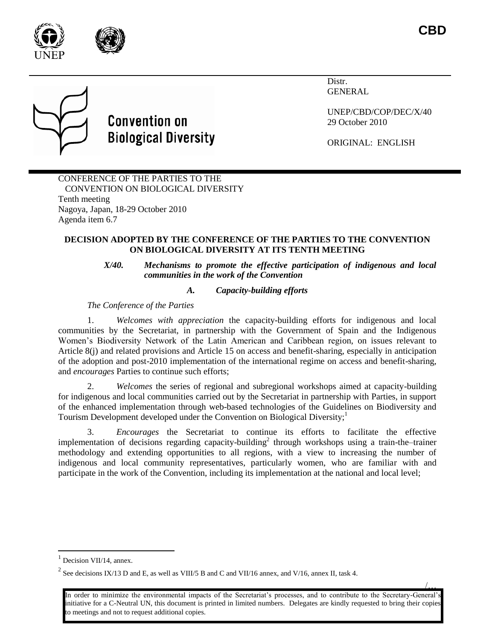

/…



# **Convention on Biological Diversity**

Distr. GENERAL

UNEP/CBD/COP/DEC/X/40 29 October 2010

ORIGINAL: ENGLISH

# CONFERENCE OF THE PARTIES TO THE CONVENTION ON BIOLOGICAL DIVERSITY Tenth meeting Nagoya, Japan, 18-29 October 2010 Agenda item 6.7

# **DECISION ADOPTED BY THE CONFERENCE OF THE PARTIES TO THE CONVENTION ON BIOLOGICAL DIVERSITY AT ITS TENTH MEETING**

*X/40. Mechanisms to promote the effective participation of indigenous and local communities in the work of the Convention*

# *A. Capacity-building efforts*

*The Conference of the Parties*

1. *Welcomes with appreciation* the capacity-building efforts for indigenous and local communities by the Secretariat, in partnership with the Government of Spain and the Indigenous Women's Biodiversity Network of the Latin American and Caribbean region, on issues relevant to Article 8(j) and related provisions and Article 15 on access and benefit-sharing, especially in anticipation of the adoption and post-2010 implementation of the international regime on access and benefit-sharing, and *encourages* Parties to continue such efforts;

2. *Welcomes* the series of regional and subregional workshops aimed at capacity-building for indigenous and local communities carried out by the Secretariat in partnership with Parties, in support of the enhanced implementation through web-based technologies of the Guidelines on Biodiversity and Tourism Development developed under the Convention on Biological Diversity;<sup>1</sup>

3. *Encourages* the Secretariat to continue its efforts to facilitate the effective implementation of decisions regarding capacity-building<sup>2</sup> through workshops using a train-the–trainer methodology and extending opportunities to all regions, with a view to increasing the number of indigenous and local community representatives, particularly women, who are familiar with and participate in the work of the Convention, including its implementation at the national and local level;

l

<sup>&</sup>lt;sup>1</sup> Decision VII/14, annex.

<sup>&</sup>lt;sup>2</sup> See decisions IX/13 D and E, as well as VIII/5 B and C and VII/16 annex, and V/16, annex II, task 4.

In order to minimize the environmental impacts of the Secretariat's processes, and to contribute to the Secretary-General's initiative for a C-Neutral UN, this document is printed in limited numbers. Delegates are kindly requested to bring their copies to meetings and not to request additional copies.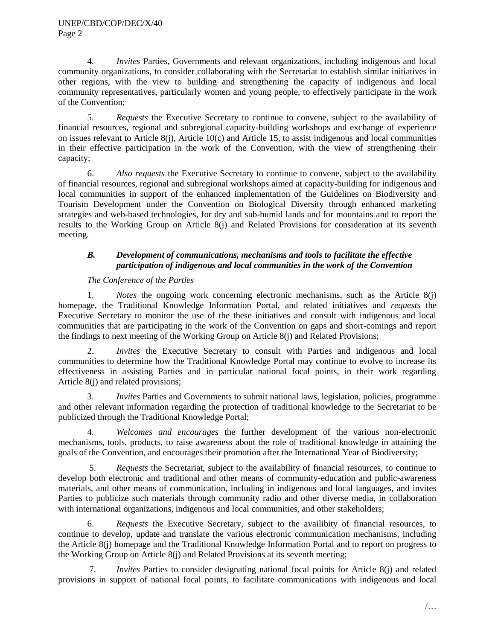4. *Invites* Parties, Governments and relevant organizations, including indigenous and local community organizations, to consider collaborating with the Secretariat to establish similar initiatives in other regions, with the view to building and strengthening the capacity of indigenous and local community representatives, particularly women and young people, to effectively participate in the work of the Convention;

5. *Requests* the Executive Secretary to continue to convene, subject to the availability of financial resources, regional and subregional capacity-building workshops and exchange of experience on issues relevant to Article 8(j), Article 10(c) and Article 15, to assist indigenous and local communities in their effective participation in the work of the Convention, with the view of strengthening their capacity;

6. *Also requests* the Executive Secretary to continue to convene, subject to the availability of financial resources, regional and subregional workshops aimed at capacity-building for indigenous and local communities in support of the enhanced implementation of the Guidelines on Biodiversity and Tourism Development under the Convention on Biological Diversity through enhanced marketing strategies and web-based technologies, for dry and sub-humid lands and for mountains and to report the results to the Working Group on Article 8(j) and Related Provisions for consideration at its seventh meeting.

# *B. Development of communications, mechanisms and tools to facilitate the effective participation of indigenous and local communities in the work of the Convention*

# *The Conference of the Parties*

1. *Notes* the ongoing work concerning electronic mechanisms, such as the Article 8(j) homepage, the Traditional Knowledge Information Portal, and related initiatives and *requests* the Executive Secretary to monitor the use of the these initiatives and consult with indigenous and local communities that are participating in the work of the Convention on gaps and short-comings and report the findings to next meeting of the Working Group on Article 8(j) and Related Provisions;

2. *Invites* the Executive Secretary to consult with Parties and indigenous and local communities to determine how the Traditional Knowledge Portal may continue to evolve to increase its effectiveness in assisting Parties and in particular national focal points, in their work regarding Article 8(j) and related provisions;

3. *Invites* Parties and Governments to submit national laws, legislation, policies, programme and other relevant information regarding the protection of traditional knowledge to the Secretariat to be publicized through the Traditional Knowledge Portal;

4. *Welcomes and encourages* the further development of the various non-electronic mechanisms, tools, products, to raise awareness about the role of traditional knowledge in attaining the goals of the Convention, and encourages their promotion after the International Year of Biodiversity;

5. *Requests* the Secretariat, subject to the availability of financial resources, to continue to develop both electronic and traditional and other means of community-education and public-awareness materials, and other means of communication, including in indigenous and local languages, and invites Parties to publicize such materials through community radio and other diverse media, in collaboration with international organizations, indigenous and local communities, and other stakeholders;

6. *Requests* the Executive Secretary, subject to the availibity of financial resources, to continue to develop, update and translate the various electronic communication mechanisms, including the Article 8(j) homepage and the Traditional Knowledge Information Portal and to report on progress to the Working Group on Article 8(j) and Related Provisions at its seventh meeting;

7. *Invites* Parties to consider designating national focal points for Article 8(j) and related provisions in support of national focal points, to facilitate communications with indigenous and local